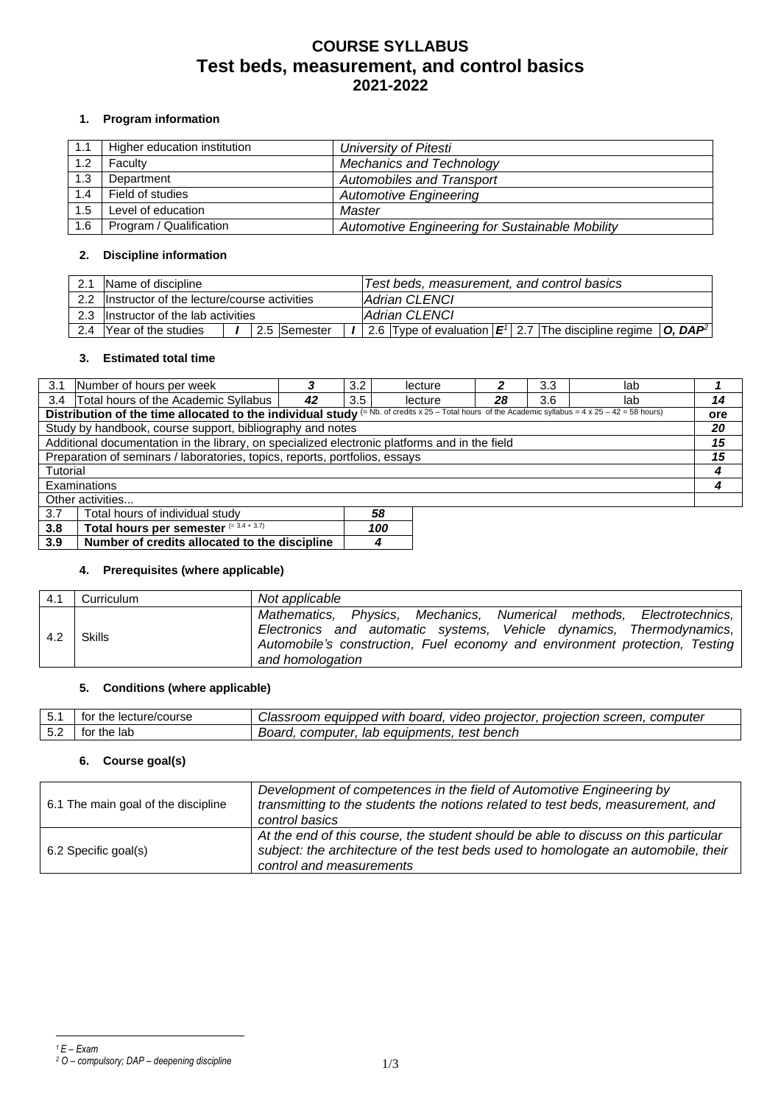# **COURSE SYLLABUS Test beds, measurement, and control basics 2021-2022**

### **1. Program information**

| 1.1 | Higher education institution | University of Pitesti                           |
|-----|------------------------------|-------------------------------------------------|
| 1.2 | Faculty                      | <b>Mechanics and Technology</b>                 |
| 1.3 | Department                   | <b>Automobiles and Transport</b>                |
| 1.4 | Field of studies             | <b>Automotive Engineering</b>                   |
| 1.5 | Level of education           | Master                                          |
| 1.6 | Program / Qualification      | Automotive Engineering for Sustainable Mobility |

### **2. Discipline information**

| 2.1 | Name of discipline                              |  |              | Test beds, measurement, and control basics                           |  |  |  |
|-----|-------------------------------------------------|--|--------------|----------------------------------------------------------------------|--|--|--|
|     | 2.2 Instructor of the lecture/course activities |  |              | Adrian CLENCI                                                        |  |  |  |
|     | 2.3 Instructor of the lab activities            |  |              | Adrian CLENCI                                                        |  |  |  |
| 2.4 | <b>Year of the studies</b>                      |  | 2.5 Semester | 2.6 Type of evaluation $ E' $ 2.7 The discipline regime $ O, DAP^2 $ |  |  |  |

# **3. Estimated total time**

|                                                                                                                                                                   | 3.1 Number of hours per week                                                                  |    | 3.2 | lecture |    | 3.3 | lab        |    |
|-------------------------------------------------------------------------------------------------------------------------------------------------------------------|-----------------------------------------------------------------------------------------------|----|-----|---------|----|-----|------------|----|
| 3.4                                                                                                                                                               | Total hours of the Academic Syllabus                                                          | 42 | 3.5 | lecture | 28 | 3.6 | lab        | 14 |
| Distribution of the time allocated to the individual study $(= Nb. of credits x 25 - Total hours of the Academic syllabus = 4 \times 25 - 42 = 58 \text{ hours})$ |                                                                                               |    |     |         |    |     | <b>ore</b> |    |
|                                                                                                                                                                   | Study by handbook, course support, bibliography and notes                                     |    |     |         |    |     |            | 20 |
|                                                                                                                                                                   | Additional documentation in the library, on specialized electronic platforms and in the field |    |     |         |    |     |            | 15 |
| Preparation of seminars / laboratories, topics, reports, portfolios, essays                                                                                       |                                                                                               |    |     |         |    |     | 15         |    |
| Tutorial                                                                                                                                                          |                                                                                               |    |     |         |    |     |            |    |
| Examinations                                                                                                                                                      |                                                                                               |    |     |         |    |     |            |    |
| Other activities                                                                                                                                                  |                                                                                               |    |     |         |    |     |            |    |
| 3.7<br>Total hours of individual study<br>58                                                                                                                      |                                                                                               |    |     |         |    |     |            |    |
| Total hours per semester $(=\overline{3.4+3.7)}$<br>3.8<br>100                                                                                                    |                                                                                               |    |     |         |    |     |            |    |

#### **4. Prerequisites (where applicable)**

**3.9 Number of credits allocated to the discipline** *4*

| 4.1 | Curriculum | Not applicable                                                                                                                                                                                                                                  |
|-----|------------|-------------------------------------------------------------------------------------------------------------------------------------------------------------------------------------------------------------------------------------------------|
| 4.2 | Skills     | Mathematics, Physics, Mechanics, Numerical methods, Electrotechnics,<br>Electronics and automatic systems, Vehicle dynamics, Thermodynamics,<br>Automobile's construction, Fuel economy and environment protection, Testing<br>and homologation |

#### **5. Conditions (where applicable)**

| 5.1 | * the lecture/course<br>tor | video projector.<br>equipped with board.<br>. proiection screen.<br><i>Jassroom</i><br>computer |
|-----|-----------------------------|-------------------------------------------------------------------------------------------------|
| 5.2 | ∵the lab<br>tor             | test bench<br>lab equipments.<br>Board.<br>computer                                             |

#### **6. Course goal(s)**

| 6.1 The main goal of the discipline | Development of competences in the field of Automotive Engineering by<br>transmitting to the students the notions related to test beds, measurement, and<br>control basics                             |
|-------------------------------------|-------------------------------------------------------------------------------------------------------------------------------------------------------------------------------------------------------|
| 6.2 Specific goal(s)                | At the end of this course, the student should be able to discuss on this particular<br>subject: the architecture of the test beds used to homologate an automobile, their<br>control and measurements |

*<sup>1</sup> E – Exam <sup>2</sup> O – compulsory; DAP – deepening discipline*